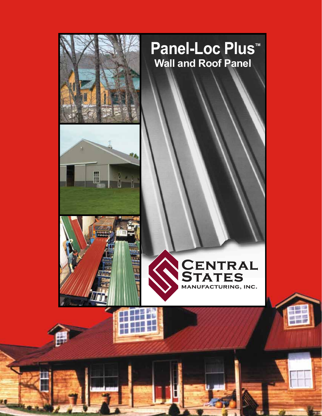